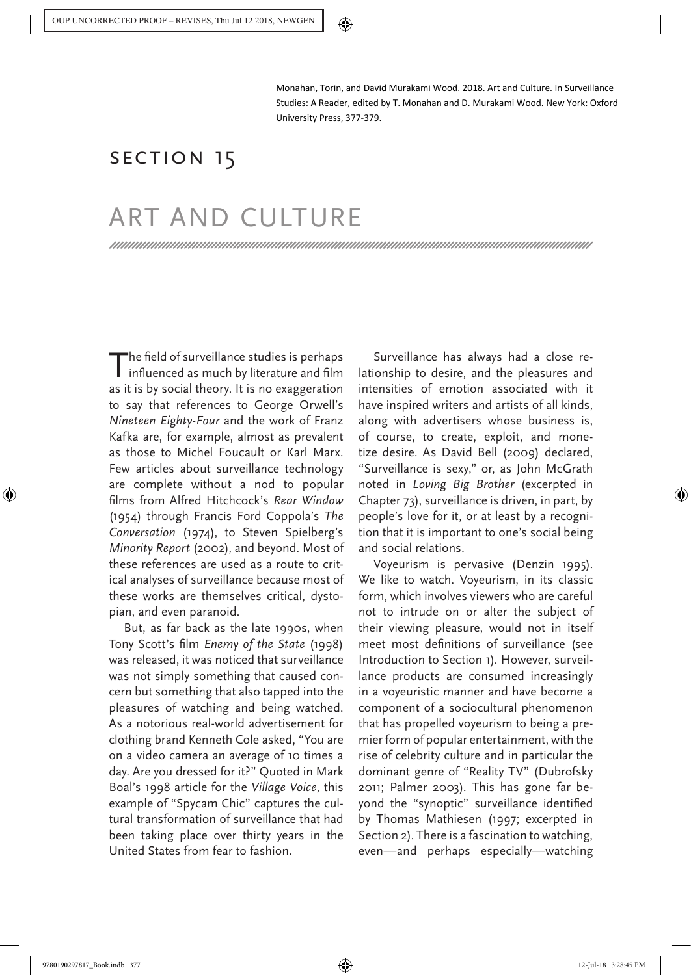Monahan, Torin, and David Murakami Wood. 2018. Art and Culture. In Surveillance Studies: A Reader, edited by T. Monahan and D. Murakami Wood. New York: Oxford University Press, 377-379.

## SECTION 15

## ART AND CULTURE

The field of surveillance studies is perhaps influenced as much by literature and film as it is by social theory. It is no exaggeration to say that references to George Orwell's *Nineteen Eighty-Four* and the work of Franz Kafka are, for example, almost as prevalent as those to Michel Foucault or Karl Marx. Few articles about surveillance technology are complete without a nod to popular films from Alfred Hitchcock's *Rear Window* (1954) through Francis Ford Coppola's *The Conversation* (1974), to Steven Spielberg's *Minority Report* (2002), and beyond. Most of these references are used as a route to critical analyses of surveillance because most of these works are themselves critical, dystopian, and even paranoid.

But, as far back as the late 1990s, when Tony Scott's film *Enemy of the State* (1998) was released, it was noticed that surveillance was not simply something that caused concern but something that also tapped into the pleasures of watching and being watched. As a notorious real-world advertisement for clothing brand Kenneth Cole asked, "You are on a video camera an average of 10 times a day. Are you dressed for it?" Quoted in Mark Boal's 1998 article for the *Village Voice*, this example of "Spycam Chic" captures the cultural transformation of surveillance that had been taking place over thirty years in the United States from fear to fashion.

Surveillance has always had a close relationship to desire, and the pleasures and intensities of emotion associated with it have inspired writers and artists of all kinds, along with advertisers whose business is, of course, to create, exploit, and monetize desire. As David Bell (2009) declared, "Surveillance is sexy," or, as John McGrath noted in *Loving Big Brother* (excerpted in Chapter 73), surveillance is driven, in part, by people's love for it, or at least by a recognition that it is important to one's social being and social relations.

Voyeurism is pervasive (Denzin 1995). We like to watch. Voyeurism, in its classic form, which involves viewers who are careful not to intrude on or alter the subject of their viewing pleasure, would not in itself meet most definitions of surveillance (see Introduction to Section 1). However, surveillance products are consumed increasingly in a voyeuristic manner and have become a component of a sociocultural phenomenon that has propelled voyeurism to being a premier form of popular entertainment, with the rise of celebrity culture and in particular the dominant genre of "Reality TV" (Dubrofsky 2011; Palmer 2003). This has gone far beyond the "synoptic" surveillance identified by Thomas Mathiesen (1997; excerpted in Section 2). There is a fascination to watching, even—and perhaps especially—watching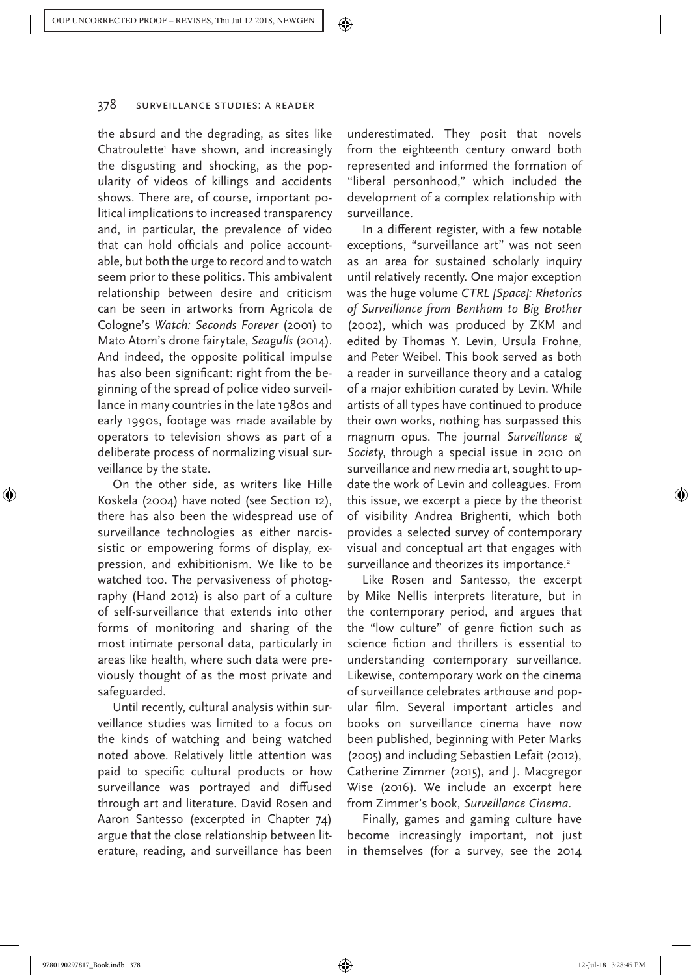the absurd and the degrading, as sites like Chatroulette' have shown, and increasingly the disgusting and shocking, as the popularity of videos of killings and accidents shows. There are, of course, important political implications to increased transparency and, in particular, the prevalence of video that can hold officials and police accountable, but both the urge to record and to watch seem prior to these politics. This ambivalent relationship between desire and criticism can be seen in artworks from Agricola de Cologne's *Watch: Seconds Forever* (2001) to Mato Atom's drone fairytale, *Seagulls* (2014). And indeed, the opposite political impulse has also been significant: right from the beginning of the spread of police video surveillance in many countries in the late 1980s and early 1990s, footage was made available by operators to television shows as part of a deliberate process of normalizing visual surveillance by the state.

On the other side, as writers like Hille Koskela (2004) have noted (see Section 12), there has also been the widespread use of surveillance technologies as either narcissistic or empowering forms of display, expression, and exhibitionism. We like to be watched too. The pervasiveness of photography (Hand 2012) is also part of a culture of self-surveillance that extends into other forms of monitoring and sharing of the most intimate personal data, particularly in areas like health, where such data were previously thought of as the most private and safeguarded.

Until recently, cultural analysis within surveillance studies was limited to a focus on the kinds of watching and being watched noted above. Relatively little attention was paid to specific cultural products or how surveillance was portrayed and diffused through art and literature. David Rosen and Aaron Santesso (excerpted in Chapter 74) argue that the close relationship between literature, reading, and surveillance has been underestimated. They posit that novels from the eighteenth century onward both represented and informed the formation of "liberal personhood," which included the development of a complex relationship with surveillance.

In a different register, with a few notable exceptions, "surveillance art" was not seen as an area for sustained scholarly inquiry until relatively recently. One major exception was the huge volume *CTRL [Space]: Rhetorics of Surveillance from Bentham to Big Brother* (2002), which was produced by ZKM and edited by Thomas Y. Levin, Ursula Frohne, and Peter Weibel. This book served as both a reader in surveillance theory and a catalog of a major exhibition curated by Levin. While artists of all types have continued to produce their own works, nothing has surpassed this magnum opus. The journal *Surveillance & Society*, through a special issue in 2010 on surveillance and new media art, sought to update the work of Levin and colleagues. From this issue, we excerpt a piece by the theorist of visibility Andrea Brighenti, which both provides a selected survey of contemporary visual and conceptual art that engages with surveillance and theorizes its importance.<sup>2</sup>

Like Rosen and Santesso, the excerpt by Mike Nellis interprets literature, but in the contemporary period, and argues that the "low culture" of genre fiction such as science fiction and thrillers is essential to understanding contemporary surveillance. Likewise, contemporary work on the cinema of surveillance celebrates arthouse and popular film. Several important articles and books on surveillance cinema have now been published, beginning with Peter Marks (2005) and including Sebastien Lefait (2012), Catherine Zimmer (2015), and J. Macgregor Wise (2016). We include an excerpt here from Zimmer's book, *Surveillance Cinema*.

Finally, games and gaming culture have become increasingly important, not just in themselves (for a survey, see the 2014